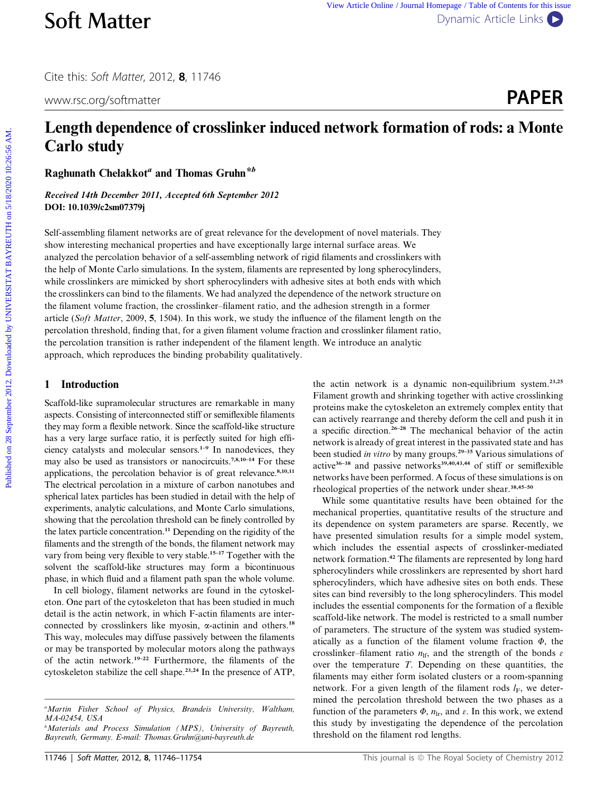www.rsc.org/softmatter **PAPER** 

# Length dependence of crosslinker induced network formation of rods: a Monte Carlo study

Raghunath Chelakkot<sup>a</sup> and Thomas Gruhn<sup>\*b</sup>

Received 14th December 2011, Accepted 6th September 2012 DOI: 10.1039/c2sm07379j

Self-assembling filament networks are of great relevance for the development of novel materials. They show interesting mechanical properties and have exceptionally large internal surface areas. We analyzed the percolation behavior of a self-assembling network of rigid filaments and crosslinkers with the help of Monte Carlo simulations. In the system, filaments are represented by long spherocylinders, while crosslinkers are mimicked by short spherocylinders with adhesive sites at both ends with which the crosslinkers can bind to the filaments. We had analyzed the dependence of the network structure on the filament volume fraction, the crosslinker–filament ratio, and the adhesion strength in a former article (Soft Matter, 2009, 5, 1504). In this work, we study the influence of the filament length on the percolation threshold, finding that, for a given filament volume fraction and crosslinker filament ratio, the percolation transition is rather independent of the filament length. We introduce an analytic approach, which reproduces the binding probability qualitatively. **Soft Matter** vertex come 28 September 2012. **Published on 28 September 2012.** Can this september 2012. **PAPER**<br> **Ength dependence of crosslinker induced network formation of rods: a Monte Carlo Study<br>
<b>Example in the con** 

## 1 Introduction

Scaffold-like supramolecular structures are remarkable in many aspects. Consisting of interconnected stiff or semiflexible filaments they may form a flexible network. Since the scaffold-like structure has a very large surface ratio, it is perfectly suited for high efficiency catalysts and molecular sensors.<sup>1-9</sup> In nanodevices, they may also be used as transistors or nanocircuits.7,8,10–14 For these applications, the percolation behavior is of great relevance.<sup>8,10,11</sup> The electrical percolation in a mixture of carbon nanotubes and spherical latex particles has been studied in detail with the help of experiments, analytic calculations, and Monte Carlo simulations, showing that the percolation threshold can be finely controlled by the latex particle concentration.<sup>11</sup> Depending on the rigidity of the filaments and the strength of the bonds, the filament network may vary from being very flexible to very stable.15–17 Together with the solvent the scaffold-like structures may form a bicontinuous phase, in which fluid and a filament path span the whole volume.

In cell biology, filament networks are found in the cytoskeleton. One part of the cytoskeleton that has been studied in much detail is the actin network, in which F-actin filaments are interconnected by crosslinkers like myosin,  $\alpha$ -actinin and others.<sup>18</sup> This way, molecules may diffuse passively between the filaments or may be transported by molecular motors along the pathways of the actin network.19–22 Furthermore, the filaments of the cytoskeleton stabilize the cell shape.<sup>23,24</sup> In the presence of ATP,

the actin network is a dynamic non-equilibrium system.23,25 Filament growth and shrinking together with active crosslinking proteins make the cytoskeleton an extremely complex entity that can actively rearrange and thereby deform the cell and push it in a specific direction.26–28 The mechanical behavior of the actin network is already of great interest in the passivated state and has been studied *in vitro* by many groups.<sup>29–35</sup> Various simulations of active $36-38$  and passive networks $39,40,43,44$  of stiff or semiflexible networks have been performed. A focus of these simulations is on rheological properties of the network under shear.38,45–50

While some quantitative results have been obtained for the mechanical properties, quantitative results of the structure and its dependence on system parameters are sparse. Recently, we have presented simulation results for a simple model system, which includes the essential aspects of crosslinker-mediated network formation.<sup>42</sup> The filaments are represented by long hard spherocylinders while crosslinkers are represented by short hard spherocylinders, which have adhesive sites on both ends. These sites can bind reversibly to the long spherocylinders. This model includes the essential components for the formation of a flexible scaffold-like network. The model is restricted to a small number of parameters. The structure of the system was studied systematically as a function of the filament volume fraction  $\Phi$ , the crosslinker–filament ratio  $n_{\text{lf}}$ , and the strength of the bonds  $\varepsilon$ over the temperature T. Depending on these quantities, the filaments may either form isolated clusters or a room-spanning network. For a given length of the filament rods  $l_F$ , we determined the percolation threshold between the two phases as a function of the parameters  $\Phi$ ,  $n_{\text{lr}}$ , and  $\varepsilon$ . In this work, we extend this study by investigating the dependence of the percolation threshold on the filament rod lengths.

<sup>&</sup>lt;sup>a</sup>Martin Fisher School of Physics, Brandeis University, Waltham, MA-02454, USA

<sup>&</sup>lt;sup>b</sup>Materials and Process Simulation (MPS), University of Bayreuth, Bayreuth, Germany. E-mail: Thomas.Gruhn@uni-bayreuth.de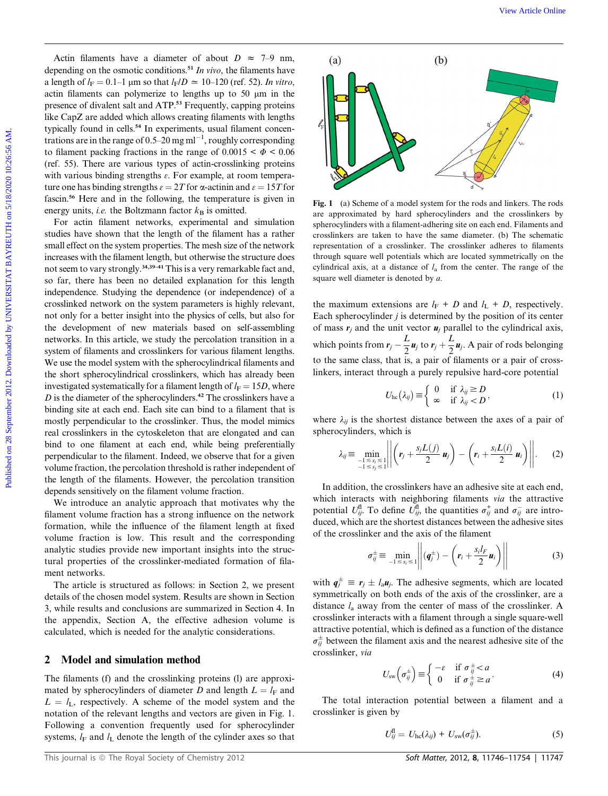Actin filaments have a diameter of about  $D \approx 7-9$  nm, depending on the osmotic conditions.<sup>51</sup> In vivo, the filaments have a length of  $l<sub>F</sub> = 0.1-1$  µm so that  $l<sub>F</sub>/D \approx 10-120$  (ref. 52). In vitro, actin filaments can polymerize to lengths up to 50 µm in the presence of divalent salt and ATP.<sup>53</sup> Frequently, capping proteins like CapZ are added which allows creating filaments with lengths typically found in cells.<sup>54</sup> In experiments, usual filament concentrations are in the range of 0.5–20 mg ml<sup>-1</sup>, roughly corresponding to filament packing fractions in the range of  $0.0015 < \Phi < 0.06$ (ref. 55). There are various types of actin-crosslinking proteins with various binding strengths  $\varepsilon$ . For example, at room temperature one has binding strengths  $\varepsilon = 2T$  for  $\alpha$ -actinin and  $\varepsilon = 15T$  for fascin.<sup>56</sup> Here and in the following, the temperature is given in energy units, *i.e.* the Boltzmann factor  $k_B$  is omitted.

For actin filament networks, experimental and simulation studies have shown that the length of the filament has a rather small effect on the system properties. The mesh size of the network increases with the filament length, but otherwise the structure does not seem to vary strongly.34,39–41 This is a very remarkable fact and, so far, there has been no detailed explanation for this length independence. Studying the dependence (or independence) of a crosslinked network on the system parameters is highly relevant, not only for a better insight into the physics of cells, but also for the development of new materials based on self-assembling networks. In this article, we study the percolation transition in a system of filaments and crosslinkers for various filament lengths. We use the model system with the spherocylindrical filaments and the short spherocylindrical crosslinkers, which has already been investigated systematically for a filament length of  $l_F = 15D$ , where  $D$  is the diameter of the spherocylinders.<sup>42</sup> The crosslinkers have a binding site at each end. Each site can bind to a filament that is mostly perpendicular to the crosslinker. Thus, the model mimics real crosslinkers in the cytoskeleton that are elongated and can bind to one filament at each end, while being preferentially perpendicular to the filament. Indeed, we observe that for a given volume fraction, the percolation threshold is rather independent of the length of the filaments. However, the percolation transition depends sensitively on the filament volume fraction. Actio filaments have a diameter of about  $D = 7-9$  am.<br>
dependent of  $P = 0$  and  $P = 0$  and  $P = 0$  and  $P = 0$ . The main of the solid particle of the particle of the solid and the solid particle of the main of the solid and

We introduce an analytic approach that motivates why the filament volume fraction has a strong influence on the network formation, while the influence of the filament length at fixed volume fraction is low. This result and the corresponding analytic studies provide new important insights into the structural properties of the crosslinker-mediated formation of filament networks.

The article is structured as follows: in Section 2, we present details of the chosen model system. Results are shown in Section 3, while results and conclusions are summarized in Section 4. In the appendix, Section A, the effective adhesion volume is calculated, which is needed for the analytic considerations.

#### 2 Model and simulation method

The filaments (f) and the crosslinking proteins (l) are approximated by spherocylinders of diameter D and length  $L = l<sub>F</sub>$  and  $L = l<sub>L</sub>$ , respectively. A scheme of the model system and the notation of the relevant lengths and vectors are given in Fig. 1. Following a convention frequently used for spherocylinder systems,  $l_F$  and  $l_L$  denote the length of the cylinder axes so that



Fig. 1 (a) Scheme of a model system for the rods and linkers. The rods are approximated by hard spherocylinders and the crosslinkers by spherocylinders with a filament-adhering site on each end. Filaments and crosslinkers are taken to have the same diameter. (b) The schematic representation of a crosslinker. The crosslinker adheres to filaments through square well potentials which are located symmetrically on the cylindrical axis, at a distance of  $l_a$  from the center. The range of the square well diameter is denoted by a.

the maximum extensions are  $l_{\text{F}}$  + D and  $l_{\text{L}}$  + D, respectively. Each spherocylinder  $j$  is determined by the position of its center of mass  $r_i$  and the unit vector  $u_i$  parallel to the cylindrical axis, which points from  $\mathbf{r}_j - \frac{L}{2} \mathbf{u}_j$  to  $\mathbf{r}_j + \frac{L}{2} \mathbf{u}_j$ . A pair of rods belonging to the same class, that is, a pair of filaments or a pair of crosslinkers, interact through a purely repulsive hard-core potential

$$
U_{\rm hc}(\lambda_{ij})\equiv\begin{cases} 0 & \text{if }\lambda_{ij}\geq D\\ \infty & \text{if }\lambda_{ij}< D \end{cases}
$$
 (1)

where  $\lambda_{ij}$  is the shortest distance between the axes of a pair of spherocylinders, which is

$$
\lambda_{ij} \equiv \min_{\substack{-1 \leq s_i \leq 1 \\ -1 \leq s_j \leq 1}} \left| \left| \left( \mathbf{r}_j + \frac{s_j L(j)}{2} \mathbf{u}_j \right) - \left( \mathbf{r}_i + \frac{s_i L(i)}{2} \mathbf{u}_i \right) \right| \right|.
$$
 (2)

In addition, the crosslinkers have an adhesive site at each end, which interacts with neighboring filaments via the attractive potential  $U_{ij}^{\text{fl}}$ . To define  $U_{ij}^{\text{fl}}$ , the quantities  $\sigma_{ij}^+$  and  $\sigma_{ij}^-$  are introduced, which are the shortest distances between the adhesive sites of the crosslinker and the axis of the filament

$$
\sigma_{ij}^{\pm} \equiv \min_{-1 \leq s_i \leq 1} \left| \left| (\boldsymbol{q}_j^{\pm}) - \left( \boldsymbol{r}_i + \frac{s_i l_F}{2} \boldsymbol{u}_i \right) \right| \right| \tag{3}
$$

with  $q_j^{\pm} \equiv r_j \pm l_a u_j$ . The adhesive segments, which are located symmetrically on both ends of the axis of the crosslinker, are a distance  $l_a$  away from the center of mass of the crosslinker. A crosslinker interacts with a filament through a single square-well attractive potential, which is defined as a function of the distance  $\sigma_{ij}^{\pm}$  between the filament axis and the nearest adhesive site of the crosslinker, via

$$
U_{\rm sw}\left(\sigma_{ij}^{\pm}\right) \equiv \begin{cases} -\varepsilon & \text{if } \sigma_{ij}^{\pm} < a \\ 0 & \text{if } \sigma_{ij}^{\pm} \ge a \end{cases} \tag{4}
$$

The total interaction potential between a filament and a crosslinker is given by

$$
U_{ij}^{\text{fl}} = U_{\text{hc}}(\lambda_{ij}) + U_{\text{sw}}(\sigma_{ij}^{\pm}). \tag{5}
$$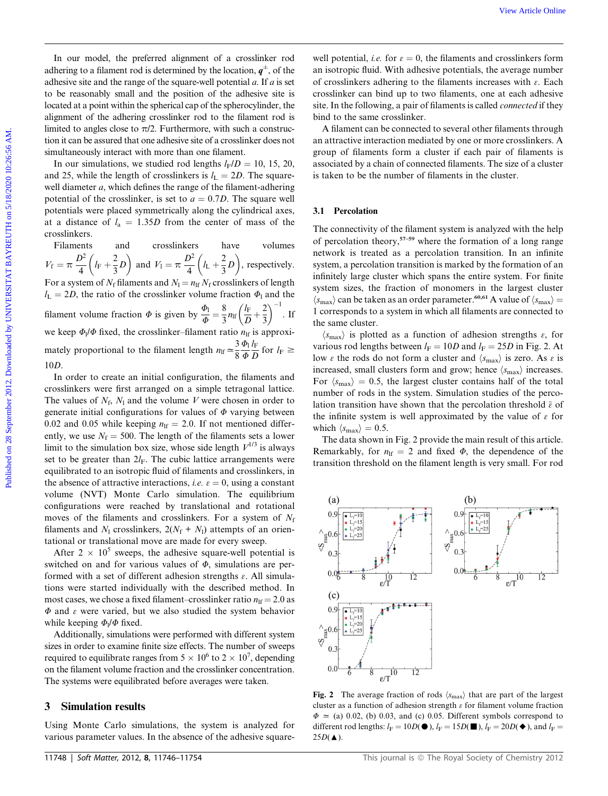In our model, the preferred alignment of a crosslinker rod adhering to a filament rod is determined by the location,  $q^{\pm}$ , of the adhesive site and the range of the square-well potential  $a$ . If  $a$  is set to be reasonably small and the position of the adhesive site is located at a point within the spherical cap of the spherocylinder, the alignment of the adhering crosslinker rod to the filament rod is limited to angles close to  $\pi/2$ . Furthermore, with such a construction it can be assured that one adhesive site of a crosslinker does not simultaneously interact with more than one filament.

In our simulations, we studied rod lengths  $l_F/D = 10, 15, 20,$ and 25, while the length of crosslinkers is  $l<sub>L</sub> = 2D$ . The squarewell diameter *a*, which defines the range of the filament-adhering potential of the crosslinker, is set to  $a = 0.7D$ . The square well potentials were placed symmetrically along the cylindrical axes, at a distance of  $l_a = 1.35D$  from the center of mass of the crosslinkers.

Filaments and crosslinkers have volumes  $V_{\rm f} = \pi \frac{D^2}{4}$  $\left(l_{\rm F}+\frac{2}{3}\right)$  $\left(\frac{2}{3}D\right)$  and  $V_1 = \pi \frac{D^2}{4}$  $\left(l_{\rm L}+\frac{2}{3}\right)$  $\left(\frac{2}{3}D\right)$ , respectively. For a system of  $N_f$  filaments and  $N_l = n_{lf} N_f$  crosslinkers of length  $l<sub>L</sub> = 2D$ , the ratio of the crosslinker volume fraction  $\Phi_1$  and the filament volume fraction  $\Phi$  is given by  $\frac{\Phi_1}{\Phi} = \frac{8}{3} n_{\text{lf}} \left( \frac{l_{\text{F}}}{D} \right)$  $\overline{D}$ <sup>+</sup> 2 3  $\setminus$ <sup>-1</sup> . If we keep  $\Phi$ <sub>l</sub>/ $\Phi$  fixed, the crosslinker–filament ratio  $n_{\text{lf}}$  is approximately proportional to the filament length  $n_{\text{lf}} \approx \frac{3}{8}$  $\Phi_{\rm l}$  $\varPhi$  $\frac{l_{\rm F}}{D}$  for  $l_{\rm F} \ge$ 10D. From the the control of the control of the control of the control of the state interest on a share of the state of the state in the state interest on the state of the state of the state interest on the state of the state

In order to create an initial configuration, the filaments and crosslinkers were first arranged on a simple tetragonal lattice. The values of  $N_f$ ,  $N_l$  and the volume V were chosen in order to generate initial configurations for values of  $\Phi$  varying between 0.02 and 0.05 while keeping  $n_{\text{lf}} = 2.0$ . If not mentioned differently, we use  $N_f = 500$ . The length of the filaments sets a lower limit to the simulation box size, whose side length  $V^{1/3}$  is always set to be greater than  $2l_F$ . The cubic lattice arrangements were equilibrated to an isotropic fluid of filaments and crosslinkers, in the absence of attractive interactions, *i.e.*  $\varepsilon = 0$ , using a constant volume (NVT) Monte Carlo simulation. The equilibrium configurations were reached by translational and rotational moves of the filaments and crosslinkers. For a system of  $N_f$ filaments and  $N_1$  crosslinkers,  $2(N_f + N_1)$  attempts of an orientational or translational move are made for every sweep.

After  $2 \times 10^5$  sweeps, the adhesive square-well potential is switched on and for various values of  $\Phi$ , simulations are performed with a set of different adhesion strengths  $\varepsilon$ . All simulations were started individually with the described method. In most cases, we chose a fixed filament–crosslinker ratio  $n_{\text{lf}} = 2.0$  as  $\Phi$  and  $\varepsilon$  were varied, but we also studied the system behavior while keeping  $\Phi$ <sub>l</sub>/ $\Phi$  fixed.

Additionally, simulations were performed with different system sizes in order to examine finite size effects. The number of sweeps required to equilibrate ranges from  $5 \times 10^6$  to  $2 \times 10^7$ , depending on the filament volume fraction and the crosslinker concentration. The systems were equilibrated before averages were taken.

### 3 Simulation results

Using Monte Carlo simulations, the system is analyzed for various parameter values. In the absence of the adhesive square-

well potential, *i.e.* for  $\varepsilon = 0$ , the filaments and crosslinkers form an isotropic fluid. With adhesive potentials, the average number of crosslinkers adhering to the filaments increases with  $\varepsilon$ . Each crosslinker can bind up to two filaments, one at each adhesive site. In the following, a pair of filaments is called connected if they bind to the same crosslinker.

A filament can be connected to several other filaments through an attractive interaction mediated by one or more crosslinkers. A group of filaments form a cluster if each pair of filaments is associated by a chain of connected filaments. The size of a cluster is taken to be the number of filaments in the cluster.

#### 3.1 Percolation

 $(a)$ 

 $\frac{1}{2}0.6$  $0<sup>3</sup>$ 

 $(c)$ 

 $\Im$  $0<sup>3</sup>$ 

The connectivity of the filament system is analyzed with the help of percolation theory,<sup>57–59</sup> where the formation of a long range network is treated as a percolation transition. In an infinite system, a percolation transition is marked by the formation of an infinitely large cluster which spans the entire system. For finite system sizes, the fraction of monomers in the largest cluster  $\langle s_{\rm max} \rangle$  can be taken as an order parameter.<sup>60,61</sup> A value of  $\langle s_{\rm max} \rangle =$ 1 corresponds to a system in which all filaments are connected to the same cluster.

 $\langle s_{\text{max}} \rangle$  is plotted as a function of adhesion strengths  $\varepsilon$ , for various rod lengths between  $l_F = 10D$  and  $l_F = 25D$  in Fig. 2. At low  $\varepsilon$  the rods do not form a cluster and  $\langle s_{\text{max}} \rangle$  is zero. As  $\varepsilon$  is increased, small clusters form and grow; hence  $\langle s_{\text{max}} \rangle$  increases. For  $\langle s_{\text{max}} \rangle = 0.5$ , the largest cluster contains half of the total number of rods in the system. Simulation studies of the percolation transition have shown that the percolation threshold  $\tilde{\varepsilon}$  of the infinite system is well approximated by the value of  $\varepsilon$  for which  $\langle s_{\text{max}} \rangle = 0.5$ .

The data shown in Fig. 2 provide the main result of this article. Remarkably, for  $n_{\text{lf}} = 2$  and fixed  $\Phi$ , the dependence of the transition threshold on the filament length is very small. For rod

 $\overline{12}$ 

 $\frac{1}{2}$ 



 $\overline{12}$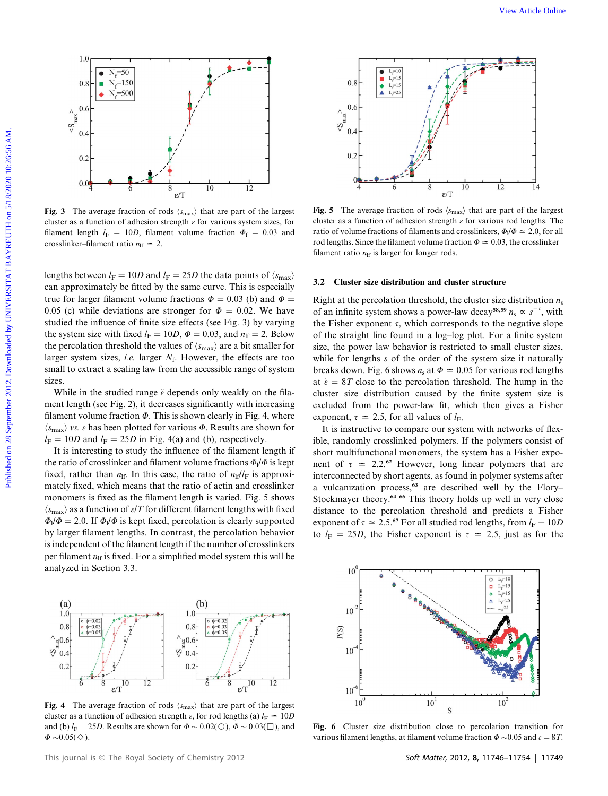



Fig. 3 The average fraction of rods  $\langle s_{\text{max}} \rangle$  that are part of the largest cluster as a function of adhesion strength  $\varepsilon$  for various system sizes, for filament length  $l_F = 10D$ , filament volume fraction  $\Phi_f = 0.03$  and crosslinker–filament ratio  $n_{\text{lf}} \approx 2$ .

lengths between  $l_F = 10D$  and  $l_F = 25D$  the data points of  $\langle s_{\text{max}} \rangle$ can approximately be fitted by the same curve. This is especially true for larger filament volume fractions  $\Phi = 0.03$  (b) and  $\Phi =$ 0.05 (c) while deviations are stronger for  $\Phi = 0.02$ . We have studied the influence of finite size effects (see Fig. 3) by varying the system size with fixed  $l_F = 10D$ ,  $\Phi = 0.03$ , and  $n_H = 2$ . Below the percolation threshold the values of  $\langle s_{\text{max}} \rangle$  are a bit smaller for larger system sizes, *i.e.* larger  $N_f$ . However, the effects are too small to extract a scaling law from the accessible range of system sizes.

While in the studied range  $\tilde{\epsilon}$  depends only weakly on the filament length (see Fig. 2), it decreases significantly with increasing filament volume fraction  $\Phi$ . This is shown clearly in Fig. 4, where  $\langle s_{\text{max}} \rangle$  vs.  $\epsilon$  has been plotted for various  $\Phi$ . Results are shown for  $l_F = 10D$  and  $l_F = 25D$  in Fig. 4(a) and (b), respectively.

It is interesting to study the influence of the filament length if the ratio of crosslinker and filament volume fractions  $\Phi_{\parallel}/\Phi$  is kept fixed, rather than  $n_{\text{lf}}$ . In this case, the ratio of  $n_{\text{lf}}/l_{\text{F}}$  is approximately fixed, which means that the ratio of actin and crosslinker monomers is fixed as the filament length is varied. Fig. 5 shows  $\langle s_{\text{max}} \rangle$  as a function of  $\varepsilon/T$  for different filament lengths with fixed  $\Phi$ <sub>l</sub> $/\Phi$  = 2.0. If  $\Phi$ <sub>l</sub> $/\Phi$  is kept fixed, percolation is clearly supported by larger filament lengths. In contrast, the percolation behavior is independent of the filament length if the number of crosslinkers per filament  $n_{\text{lf}}$  is fixed. For a simplified model system this will be analyzed in Section 3.3.



Fig. 4 The average fraction of rods  $\langle s_{\text{max}} \rangle$  that are part of the largest cluster as a function of adhesion strength  $\varepsilon$ , for rod lengths (a)  $l_F \approx 10D$ and (b)  $l_F = 25D$ . Results are shown for  $\Phi \sim 0.02(\circlearrowright)$ ,  $\Phi \sim 0.03(\circlearrowright)$ , and  $\Phi \sim 0.05$ ( $\diamond$ ).



Fig. 5 The average fraction of rods  $\langle s_{\text{max}} \rangle$  that are part of the largest cluster as a function of adhesion strength  $\varepsilon$  for various rod lengths. The ratio of volume fractions of filaments and crosslinkers,  $\Phi/\Phi \approx 2.0$ , for all rod lengths. Since the filament volume fraction  $\Phi \approx 0.03$ , the crosslinker– filament ratio  $n_{\text{lf}}$  is larger for longer rods.

#### 3.2 Cluster size distribution and cluster structure

Right at the percolation threshold, the cluster size distribution  $n_s$ of an infinite system shows a power-law decay<sup>58,59</sup>  $n_s \propto s^{-\tau}$ , with the Fisher exponent  $\tau$ , which corresponds to the negative slope of the straight line found in a log–log plot. For a finite system size, the power law behavior is restricted to small cluster sizes, while for lengths s of the order of the system size it naturally breaks down. Fig. 6 shows  $n_s$  at  $\Phi \approx 0.05$  for various rod lengths at  $\tilde{\varepsilon} = 8T$  close to the percolation threshold. The hump in the cluster size distribution caused by the finite system size is excluded from the power-law fit, which then gives a Fisher exponent,  $\tau \approx 2.5$ , for all values of  $l_F$ .

It is instructive to compare our system with networks of flexible, randomly crosslinked polymers. If the polymers consist of short multifunctional monomers, the system has a Fisher exponent of  $\tau \approx 2.2^{62}$  However, long linear polymers that are interconnected by short agents, as found in polymer systems after a vulcanization process,<sup>63</sup> are described well by the Flory-Stockmayer theory.64–66 This theory holds up well in very close distance to the percolation threshold and predicts a Fisher exponent of  $\tau \approx 2.5$ .<sup>67</sup> For all studied rod lengths, from  $l_F = 10D$ to  $l_F = 25D$ , the Fisher exponent is  $\tau \approx 2.5$ , just as for the



Fig. 6 Cluster size distribution close to percolation transition for various filament lengths, at filament volume fraction  $\Phi \sim 0.05$  and  $\varepsilon = 8T$ .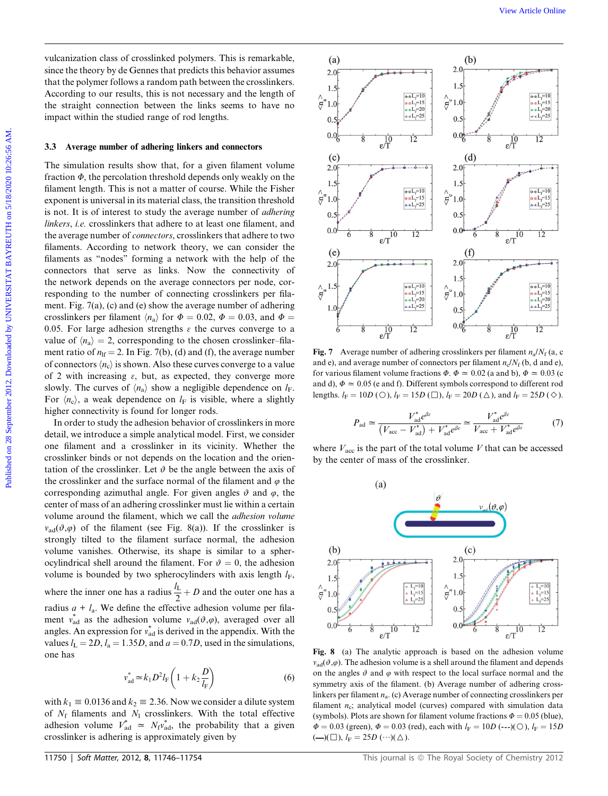vulcanization class of crosslinked polymers. This is remarkable, since the theory by de Gennes that predicts this behavior assumes that the polymer follows a random path between the crosslinkers. According to our results, this is not necessary and the length of the straight connection between the links seems to have no impact within the studied range of rod lengths.

#### 3.3 Average number of adhering linkers and connectors

The simulation results show that, for a given filament volume fraction  $\Phi$ , the percolation threshold depends only weakly on the filament length. This is not a matter of course. While the Fisher exponent is universal in its material class, the transition threshold is not. It is of interest to study the average number of adhering linkers, i.e. crosslinkers that adhere to at least one filament, and the average number of connectors, crosslinkers that adhere to two filaments. According to network theory, we can consider the filaments as ''nodes'' forming a network with the help of the connectors that serve as links. Now the connectivity of the network depends on the average connectors per node, corresponding to the number of connecting crosslinkers per filament. Fig. 7(a), (c) and (e) show the average number of adhering crosslinkers per filament  $\langle n_a \rangle$  for  $\Phi = 0.02$ ,  $\Phi = 0.03$ , and  $\Phi =$ 0.05. For large adhesion strengths  $\varepsilon$  the curves converge to a value of  $\langle n_a \rangle = 2$ , corresponding to the chosen crosslinker–filament ratio of  $n_{\text{lf}} = 2$ . In Fig. 7(b), (d) and (f), the average number of connectors  $\langle n_c \rangle$  is shown. Also these curves converge to a value of 2 with increasing  $\varepsilon$ , but, as expected, they converge more slowly. The curves of  $\langle n_a \rangle$  show a negligible dependence on  $l_F$ . For  $\langle n_c \rangle$ , a weak dependence on  $l_F$  is visible, where a slightly higher connectivity is found for longer rods.

In order to study the adhesion behavior of crosslinkers in more detail, we introduce a simple analytical model. First, we consider one filament and a crosslinker in its vicinity. Whether the crosslinker binds or not depends on the location and the orientation of the crosslinker. Let  $\vartheta$  be the angle between the axis of the crosslinker and the surface normal of the filament and  $\varphi$  the corresponding azimuthal angle. For given angles  $\vartheta$  and  $\varphi$ , the center of mass of an adhering crosslinker must lie within a certain volume around the filament, which we call the adhesion volume  $v_{\text{ad}}(\vartheta,\varphi)$  of the filament (see Fig. 8(a)). If the crosslinker is strongly tilted to the filament surface normal, the adhesion volume vanishes. Otherwise, its shape is similar to a spherocylindrical shell around the filament. For  $\vartheta = 0$ , the adhesion volume is bounded by two spherocylinders with axis length  $l_F$ , where the inner one has a radius  $\frac{l_{\text{L}}}{2} + D$  and the outer one has a radius  $a + l_a$ . We define the effective adhesion volume per filament  $v_{\text{ad}}^*$  as the adhesion volume  $v_{\text{ad}}(\vartheta,\varphi)$ , averaged over all angles. An expression for  $v_{ad}^*$  is derived in the appendix. With the values  $l_1 = 2D$ ,  $l_a = 1.35D$ , and  $a = 0.7D$ , used in the simulations, one has

$$
v_{\rm ad}^* \simeq k_1 D^2 l_{\rm F} \left( 1 + k_2 \frac{D}{l_{\rm F}} \right) \tag{6}
$$

with  $k_1 \equiv 0.0136$  and  $k_2 \equiv 2.36$ . Now we consider a dilute system of  $N_f$  filaments and  $N_1$  crosslinkers. With the total effective adhesion volume  $V_{\text{ad}}^* \approx N_f v_{\text{ad}}^*$ , the probability that a given crosslinker is adhering is approximately given by



Fig. 7 Average number of adhering crosslinkers per filament  $n_a/N_f$  (a, c and e), and average number of connectors per filament  $n_c/N_f$  (b, d and e), for various filament volume fractions  $\Phi$ .  $\Phi \approx 0.02$  (a and b),  $\Phi \approx 0.03$  (c and d),  $\Phi \approx 0.05$  (e and f). Different symbols correspond to different rod lengths.  $l_F = 10D$  (O),  $l_F = 15D$  ( $\square$ ),  $l_F = 20D$  ( $\triangle$ ), and  $l_F = 25D$  ( $\diamondsuit$ ).

$$
P_{\rm ad} \simeq \frac{V_{\rm ad}^* e^{\beta \varepsilon}}{\left(V_{\rm acc} - V_{\rm ad}^*\right) + V_{\rm ad}^* e^{\beta \varepsilon}} \simeq \frac{V_{\rm ad}^* e^{\beta \varepsilon}}{V_{\rm acc} + V_{\rm ad}^* e^{\beta \varepsilon}}\tag{7}
$$

where  $V_{\text{acc}}$  is the part of the total volume V that can be accessed by the center of mass of the crosslinker.



Fig. 8 (a) The analytic approach is based on the adhesion volume  $v_{\rm ad}(\vartheta,\varphi)$ . The adhesion volume is a shell around the filament and depends on the angles  $\vartheta$  and  $\varphi$  with respect to the local surface normal and the symmetry axis of the filament. (b) Average number of adhering crosslinkers per filament  $n_a$ . (c) Average number of connecting crosslinkers per filament  $n_c$ ; analytical model (curves) compared with simulation data (symbols). Plots are shown for filament volume fractions  $\Phi = 0.05$  (blue),  $\Phi = 0.03$  (green),  $\Phi = 0.03$  (red), each with  $l_F = 10D$  (---)( $\circ$ ),  $l_F = 15D$  $(-)(\Box), l_F = 25D \cdot (\cdots)(\Delta).$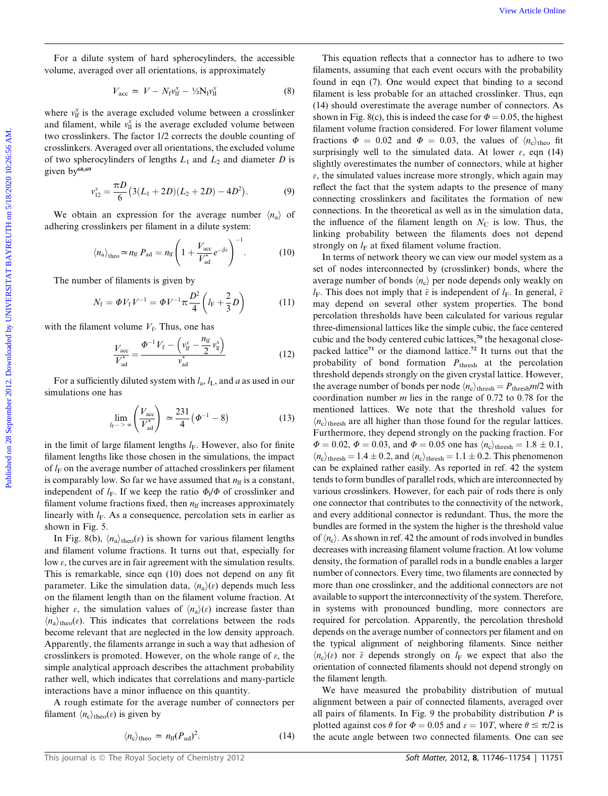For a dilute system of hard spherocylinders, the accessible volume, averaged over all orientations, is approximately

$$
V_{\text{acc}} \simeq V - N_{\text{f}} v_{\text{lf}}^x - \frac{1}{2} N_{\text{I}} v_{\text{II}}^x \tag{8}
$$

where  $v_{\text{If}}^x$  is the average excluded volume between a crosslinker and filament, while  $v_{\text{ll}}^x$  is the average excluded volume between two crosslinkers. The factor 1/2 corrects the double counting of crosslinkers. Averaged over all orientations, the excluded volume of two spherocylinders of lengths  $L_1$  and  $L_2$  and diameter D is given by<sup>68,69</sup>

$$
v_{12}^{x} = \frac{\pi D}{6} \left( 3(L_1 + 2D)(L_2 + 2D) - 4D^2 \right).
$$
 (9)

We obtain an expression for the average number  $\langle n_a \rangle$  of adhering crosslinkers per filament in a dilute system:

$$
\langle n_{\rm a} \rangle_{\rm theo} \simeq n_{\rm lf} \, P_{\rm ad} = n_{\rm lf} \left( 1 + \frac{V_{\rm acc}}{V_{\rm ad}^*} e^{-\beta \varepsilon} \right)^{-1} . \tag{10}
$$

The number of filaments is given by

$$
N_{\rm f} = \Phi V_{\rm f} V^{-1} = \Phi V^{-1} \pi \frac{D^2}{4} \left( I_{\rm F} + \frac{2}{3} D \right) \tag{11}
$$

with the filament volume  $V_f$ . Thus, one has

$$
\frac{V_{\text{acc}}}{V_{\text{ad}}^*} = \frac{\Phi^{-1} V_{\text{f}} - \left(v_{\text{lf}}^x - \frac{n_{\text{lf}}}{2} v_{\text{ll}}^x\right)}{v_{\text{ad}}^*}
$$
(12)

For a sufficiently diluted system with  $l_a$ ,  $l_c$ , and a as used in our simulations one has

$$
\lim_{|F| > \infty} \left( \frac{V_{\text{acc}}}{V_{\text{ad}}^*} \right) \simeq \frac{231}{4} \left( \Phi^{-1} - 8 \right) \tag{13}
$$

in the limit of large filament lengths  $l_F$ . However, also for finite filament lengths like those chosen in the simulations, the impact of  $l_F$  on the average number of attached crosslinkers per filament is comparably low. So far we have assumed that  $n_{\text{lf}}$  is a constant, independent of  $l_F$ . If we keep the ratio  $\Phi$ <sub>l</sub>/ $\Phi$  of crosslinker and filament volume fractions fixed, then  $n_{\text{lf}}$  increases approximately linearly with  $l_F$ . As a consequence, percolation sets in earlier as shown in Fig. 5.

In Fig. 8(b),  $\langle n_a \rangle_{\text{theo}}(\varepsilon)$  is shown for various filament lengths and filament volume fractions. It turns out that, especially for low  $\varepsilon$ , the curves are in fair agreement with the simulation results. This is remarkable, since eqn (10) does not depend on any fit parameter. Like the simulation data,  $\langle n_a \rangle(\varepsilon)$  depends much less on the filament length than on the filament volume fraction. At higher  $\varepsilon$ , the simulation values of  $\langle n_a \rangle(\varepsilon)$  increase faster than  $\langle n_a \rangle_{\text{theo}}(\varepsilon)$ . This indicates that correlations between the rods become relevant that are neglected in the low density approach. Apparently, the filaments arrange in such a way that adhesion of crosslinkers is promoted. However, on the whole range of  $\varepsilon$ , the simple analytical approach describes the attachment probability rather well, which indicates that correlations and many-particle interactions have a minor influence on this quantity.

A rough estimate for the average number of connectors per filament  $\langle n_c \rangle_{\text{theo}}(\varepsilon)$  is given by

$$
\langle n_{\rm c} \rangle_{\rm theo} \simeq n_{\rm lf}(P_{\rm ad})^2. \tag{14}
$$

This equation reflects that a connector has to adhere to two filaments, assuming that each event occurs with the probability found in eqn (7). One would expect that binding to a second filament is less probable for an attached crosslinker. Thus, eqn (14) should overestimate the average number of connectors. As shown in Fig. 8(c), this is indeed the case for  $\Phi = 0.05$ , the highest filament volume fraction considered. For lower filament volume fractions  $\Phi = 0.02$  and  $\Phi = 0.03$ , the values of  $\langle n_c \rangle$ <sub>theo</sub> fit surprisingly well to the simulated data. At lower  $\varepsilon$ , eqn (14) slightly overestimates the number of connectors, while at higher  $\epsilon$ , the simulated values increase more strongly, which again may reflect the fact that the system adapts to the presence of many connecting crosslinkers and facilitates the formation of new connections. In the theoretical as well as in the simulation data, the influence of the filament length on  $N_c$  is low. Thus, the linking probability between the filaments does not depend strongly on  $l_{\rm F}$  at fixed filament volume fraction.

In terms of network theory we can view our model system as a set of nodes interconnected by (crosslinker) bonds, where the average number of bonds  $\langle n_c \rangle$  per node depends only weakly on  $l_F$ . This does not imply that  $\tilde{\varepsilon}$  is independent of  $l_F$ . In general,  $\tilde{\varepsilon}$ may depend on several other system properties. The bond percolation thresholds have been calculated for various regular three-dimensional lattices like the simple cubic, the face centered cubic and the body centered cubic lattices,<sup>70</sup> the hexagonal closepacked lattice<sup>71</sup> or the diamond lattice.<sup>72</sup> It turns out that the probability of bond formation  $P_{\text{thresh}}$  at the percolation threshold depends strongly on the given crystal lattice. However, the average number of bonds per node  $\langle n_c \rangle$ <sub>thresh</sub>  $= P_{\text{thresh}} m/2$  with coordination number  $m$  lies in the range of 0.72 to 0.78 for the mentioned lattices. We note that the threshold values for  $\langle n_c \rangle$ <sub>thresh</sub> are all higher than those found for the regular lattices. Furthermore, they depend strongly on the packing fraction. For  $\Phi = 0.02, \Phi = 0.03, \text{ and } \Phi = 0.05 \text{ one has } \langle n_c \rangle_{\text{thresh}} = 1.8 \pm 0.1,$  $\langle n_c \rangle$ <sub>thresh</sub> = 1.4  $\pm$  0.2, and  $\langle n_c \rangle$ <sub>thresh</sub> = 1.1  $\pm$  0.2. This phenomenon can be explained rather easily. As reported in ref. 42 the system tends to form bundles of parallel rods, which are interconnected by various crosslinkers. However, for each pair of rods there is only one connector that contributes to the connectivity of the network, and every additional connector is redundant. Thus, the more the bundles are formed in the system the higher is the threshold value of  $\langle n_c \rangle$ . As shown in ref. 42 the amount of rods involved in bundles decreases with increasing filament volume fraction. At low volume density, the formation of parallel rods in a bundle enables a larger number of connectors. Every time, two filaments are connected by more than one crosslinker, and the additional connectors are not available to support the interconnectivity of the system. Therefore, in systems with pronounced bundling, more connectors are required for percolation. Apparently, the percolation threshold depends on the average number of connectors per filament and on the typical alignment of neighboring filaments. Since neither  $\langle n_c \rangle (\varepsilon)$  nor  $\tilde{\varepsilon}$  depends strongly on  $l_F$  we expect that also the orientation of connected filaments should not depend strongly on the filament length. For a dilute system of hard spherocylinders, the accessible This equation reflects that a context has be able to two schemes the context of the system of context or a second by Universident in a probability of the system

> We have measured the probability distribution of mutual alignment between a pair of connected filaments, averaged over all pairs of filaments. In Fig. 9 the probability distribution  $P$  is plotted against cos  $\theta$  for  $\Phi = 0.05$  and  $\varepsilon = 10T$ , where  $\theta \le \pi/2$  is the acute angle between two connected filaments. One can see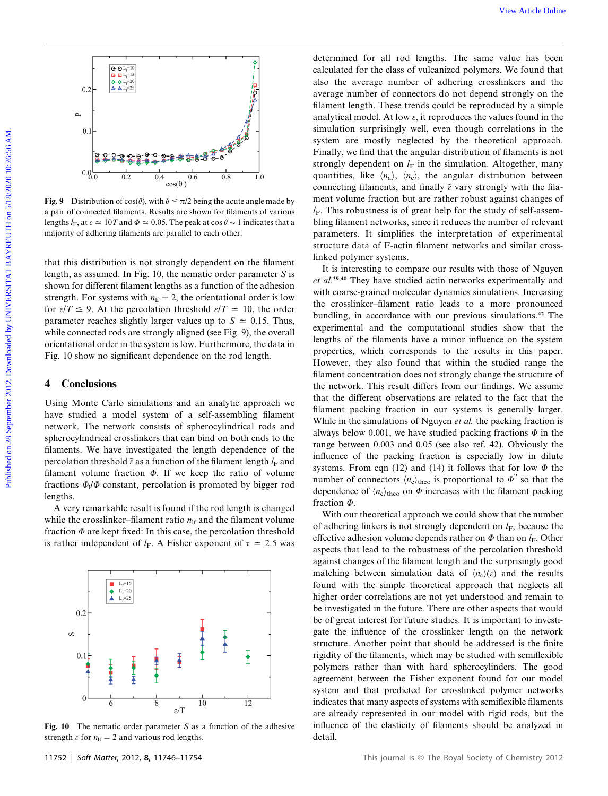

**Fig. 9** Distribution of  $cos(\theta)$ , with  $\theta \le \pi/2$  being the acute angle made by a pair of connected filaments. Results are shown for filaments of various lengths  $l_F$ , at  $\epsilon \approx 10T$  and  $\Phi \approx 0.05$ . The peak at cos  $\theta \sim 1$  indicates that a majority of adhering filaments are parallel to each other.

that this distribution is not strongly dependent on the filament length, as assumed. In Fig. 10, the nematic order parameter  $S$  is shown for different filament lengths as a function of the adhesion strength. For systems with  $n_{\text{lf}} = 2$ , the orientational order is low for  $\varepsilon/T \le 9$ . At the percolation threshold  $\varepsilon/T \approx 10$ , the order parameter reaches slightly larger values up to  $S \approx 0.15$ . Thus, while connected rods are strongly aligned (see Fig. 9), the overall orientational order in the system is low. Furthermore, the data in Fig. 10 show no significant dependence on the rod length.

#### 4 Conclusions

Using Monte Carlo simulations and an analytic approach we have studied a model system of a self-assembling filament network. The network consists of spherocylindrical rods and spherocylindrical crosslinkers that can bind on both ends to the filaments. We have investigated the length dependence of the percolation threshold  $\tilde{\epsilon}$  as a function of the filament length  $l_F$  and filament volume fraction  $\Phi$ . If we keep the ratio of volume fractions  $\Phi/\Phi$  constant, percolation is promoted by bigger rod lengths.

A very remarkable result is found if the rod length is changed while the crosslinker–filament ratio  $n_{\text{lf}}$  and the filament volume fraction  $\Phi$  are kept fixed: In this case, the percolation threshold is rather independent of  $l_F$ . A Fisher exponent of  $\tau \approx 2.5$  was



Fig.  $10$  The nematic order parameter S as a function of the adhesive strength  $\epsilon$  for  $n_{\text{lf}} = 2$  and various rod lengths.

determined for all rod lengths. The same value has been calculated for the class of vulcanized polymers. We found that also the average number of adhering crosslinkers and the average number of connectors do not depend strongly on the filament length. These trends could be reproduced by a simple analytical model. At low  $\varepsilon$ , it reproduces the values found in the simulation surprisingly well, even though correlations in the system are mostly neglected by the theoretical approach. Finally, we find that the angular distribution of filaments is not strongly dependent on  $l_F$  in the simulation. Altogether, many quantities, like  $\langle n_a \rangle$ ,  $\langle n_c \rangle$ , the angular distribution between connecting filaments, and finally  $\tilde{\epsilon}$  vary strongly with the filament volume fraction but are rather robust against changes of  $l_F$ . This robustness is of great help for the study of self-assembling filament networks, since it reduces the number of relevant parameters. It simplifies the interpretation of experimental structure data of F-actin filament networks and similar crosslinked polymer systems.

It is interesting to compare our results with those of Nguyen et al.39,40 They have studied actin networks experimentally and with coarse-grained molecular dynamics simulations. Increasing the crosslinker–filament ratio leads to a more pronounced bundling, in accordance with our previous simulations.<sup>42</sup> The experimental and the computational studies show that the lengths of the filaments have a minor influence on the system properties, which corresponds to the results in this paper. However, they also found that within the studied range the filament concentration does not strongly change the structure of the network. This result differs from our findings. We assume that the different observations are related to the fact that the filament packing fraction in our systems is generally larger. While in the simulations of Nguyen et al. the packing fraction is always below 0.001, we have studied packing fractions  $\Phi$  in the range between 0.003 and 0.05 (see also ref. 42). Obviously the influence of the packing fraction is especially low in dilute systems. From eqn (12) and (14) it follows that for low  $\Phi$  the number of connectors  $\langle n_c \rangle_{\text{theo}}$  is proportional to  $\Phi^2$  so that the dependence of  $\langle n_c \rangle_{\text{theo}}$  on  $\Phi$  increases with the filament packing fraction  $\Phi$ . Function of  $\frac{1}{2}$  September 2013. The state of  $\frac{1}{2}$  September 2013. The control of the control of the control of the control of the control of the control of the control of the control of the control of the contr

> With our theoretical approach we could show that the number of adhering linkers is not strongly dependent on  $l_F$ , because the effective adhesion volume depends rather on  $\Phi$  than on  $l_{\rm E}$ . Other aspects that lead to the robustness of the percolation threshold against changes of the filament length and the surprisingly good matching between simulation data of  $\langle n_c \rangle (\varepsilon)$  and the results found with the simple theoretical approach that neglects all higher order correlations are not yet understood and remain to be investigated in the future. There are other aspects that would be of great interest for future studies. It is important to investigate the influence of the crosslinker length on the network structure. Another point that should be addressed is the finite rigidity of the filaments, which may be studied with semiflexible polymers rather than with hard spherocylinders. The good agreement between the Fisher exponent found for our model system and that predicted for crosslinked polymer networks indicates that many aspects of systems with semiflexible filaments are already represented in our model with rigid rods, but the influence of the elasticity of filaments should be analyzed in detail.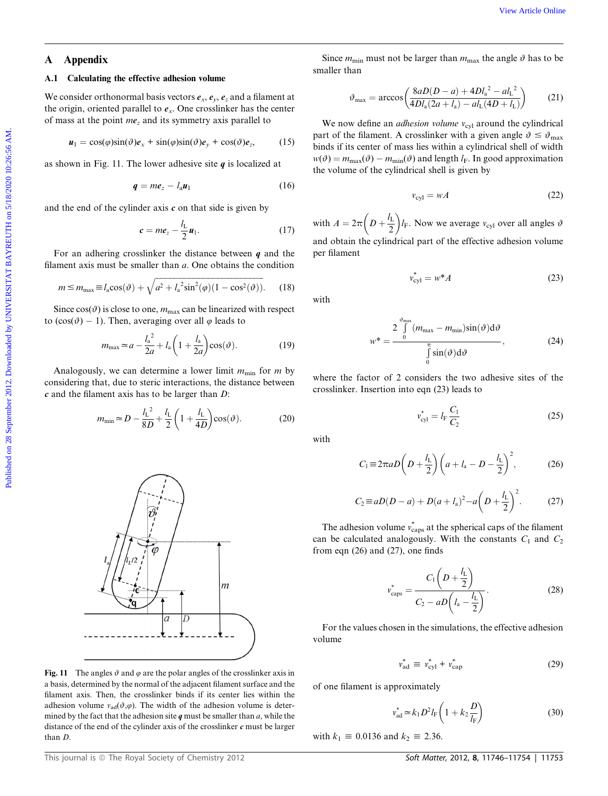## A Appendix

#### A.1 Calculating the effective adhesion volume

We consider orthonormal basis vectors  $e_x$ ,  $e_y$ ,  $e_z$  and a filament at the origin, oriented parallel to  $e_x$ . One crosslinker has the center of mass at the point  $me<sub>z</sub>$  and its symmetry axis parallel to

$$
\boldsymbol{u}_1 = \cos(\varphi)\sin(\vartheta)\boldsymbol{e}_x + \sin(\varphi)\sin(\vartheta)\boldsymbol{e}_y + \cos(\vartheta)\boldsymbol{e}_z, \qquad (15)
$$

as shown in Fig. 11. The lower adhesive site  $q$  is localized at

$$
q = me_z - l_a u_1 \tag{16}
$$

and the end of the cylinder axis  $c$  on that side is given by

$$
c = me_z - \frac{l_L}{2}u_1. \tag{17}
$$

For an adhering crosslinker the distance between  $q$  and the filament axis must be smaller than  $a$ . One obtains the condition

$$
m \le m_{\text{max}} \equiv l_{\text{a}} \cos(\vartheta) + \sqrt{a^2 + l_{\text{a}}^2 \sin^2(\varphi)(1 - \cos^2(\vartheta))}. \tag{18}
$$

Since  $cos(\theta)$  is close to one,  $m_{\text{max}}$  can be linearized with respect to  $(\cos(\vartheta) - 1)$ . Then, averaging over all  $\varphi$  leads to

$$
m_{\text{max}} \simeq a - \frac{l_a^2}{2a} + l_a \left( 1 + \frac{l_a}{2a} \right) \cos(\vartheta). \tag{19}
$$

Analogously, we can determine a lower limit  $m_{\text{min}}$  for m by considering that, due to steric interactions, the distance between  $c$  and the filament axis has to be larger than  $D$ :

$$
m_{\min} \simeq D - \frac{l_{\rm L}^{2}}{8D} + \frac{l_{\rm L}}{2} \left( 1 + \frac{l_{\rm L}}{4D} \right) \cos(\vartheta). \tag{20}
$$



Fig. 11 The angles  $\vartheta$  and  $\varphi$  are the polar angles of the crosslinker axis in a basis, determined by the normal of the adjacent filament surface and the filament axis. Then, the crosslinker binds if its center lies within the adhesion volume  $v_{ad}(\vartheta,\varphi)$ . The width of the adhesion volume is determined by the fact that the adhesion site  $q$  must be smaller than  $a$ , while the distance of the end of the cylinder axis of the crosslinker  $c$  must be larger than D.

Since  $m_{\text{min}}$  must not be larger than  $m_{\text{max}}$  the angle  $\vartheta$  has to be smaller than

$$
\vartheta_{\text{max}} = \arccos\left(\frac{8aD(D-a) + 4Dl_a^2 - al_{\text{L}}^2}{4Dl_a(2a + l_a) - al_{\text{L}}(4D + l_{\text{L}})}\right) \tag{21}
$$

We now define an *adhesion volume*  $v_{\text{cyl}}$  around the cylindrical part of the filament. A crosslinker with a given angle  $\vartheta \leq \vartheta_{\text{max}}$ binds if its center of mass lies within a cylindrical shell of width  $w(\vartheta) = m_{\text{max}}(\vartheta) - m_{\text{min}}(\vartheta)$  and length  $l_F$ . In good approximation the volume of the cylindrical shell is given by Very Article Countries the effective adhesion values<br>
A A Calculating the effective adhesion values<br>
We convention the second have vaccine on  $G_{\text{NN}} = 20000$ <br>
die exign, oriented parallel to e. Our consider has the conte

$$
v_{\rm cyl} = wA \tag{22}
$$

with  $A = 2\pi \left(D + \frac{l_1}{2}\right)$ 2  $\left| l_{\text{F}} \right|$ . Now we average  $v_{\text{cyl}}$  over all angles  $\vartheta$ and obtain the cylindrical part of the effective adhesion volume per filament

$$
v_{\text{cyl}}^* = w^* A \tag{23}
$$

with

$$
w^* = \frac{2\int\limits_{0}^{\vartheta_{\text{max}}} (m_{\text{max}} - m_{\text{min}})\sin(\vartheta)d\vartheta}{\int\limits_{0}^{\pi}\sin(\vartheta)d\vartheta},
$$
 (24)

where the factor of 2 considers the two adhesive sites of the crosslinker. Insertion into eqn (23) leads to

$$
v_{\text{cyl}}^* = l_{\text{F}} \frac{C_1}{C_2} \tag{25}
$$

with

$$
C_1 \equiv 2\pi a D \left( D + \frac{l_1}{2} \right) \left( a + l_a - D - \frac{l_1}{2} \right)^2, \tag{26}
$$

$$
C_2 \equiv aD(D-a) + D(a + l_a)^2 - a\left(D + \frac{l_b}{2}\right)^2. \tag{27}
$$

The adhesion volume  $v_{\text{caps}}^*$  at the spherical caps of the filament can be calculated analogously. With the constants  $C_1$  and  $C_2$ from eqn (26) and (27), one finds

$$
v_{\text{caps}}^* = \frac{C_1 \left( D + \frac{l_{\text{L}}}{2} \right)}{C_2 - aD \left( l_{\text{a}} - \frac{l_{\text{L}}}{2} \right)}.
$$
 (28)

For the values chosen in the simulations, the effective adhesion volume

$$
v_{\text{ad}}^* \equiv v_{\text{cyl}}^* + v_{\text{cap}}^* \tag{29}
$$

of one filament is approximately

$$
v_{\text{ad}}^* \simeq k_1 D^2 I_{\text{F}} \left( 1 + k_2 \frac{D}{I_{\text{F}}} \right)
$$
 (30)

with  $k_1 \equiv 0.0136$  and  $k_2 \equiv 2.36$ .